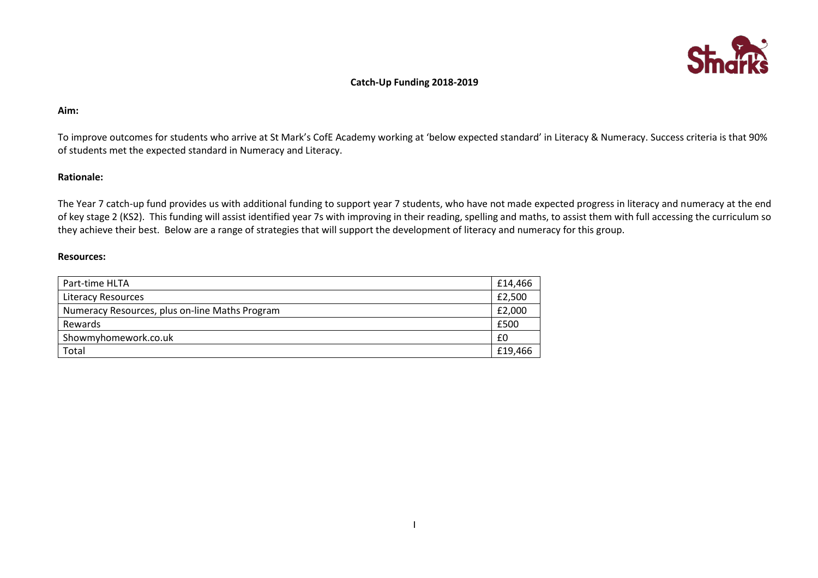

## **Catch-Up Funding 2018-2019**

### **Aim:**

To improve outcomes for students who arrive at St Mark's CofE Academy working at 'below expected standard' in Literacy & Numeracy. Success criteria is that 90% of students met the expected standard in Numeracy and Literacy.

## **Rationale:**

The Year 7 catch-up fund provides us with additional funding to support year 7 students, who have not made expected progress in literacy and numeracy at the end of key stage 2 (KS2). This funding will assist identified year 7s with improving in their reading, spelling and maths, to assist them with full accessing the curriculum so they achieve their best. Below are a range of strategies that will support the development of literacy and numeracy for this group.

#### **Resources:**

| Part-time HLTA                                 | £14,466 |
|------------------------------------------------|---------|
| Literacy Resources                             | £2,500  |
| Numeracy Resources, plus on-line Maths Program | £2,000  |
| Rewards                                        | £500    |
| Showmyhomework.co.uk                           | £0      |
| Total                                          | £19,466 |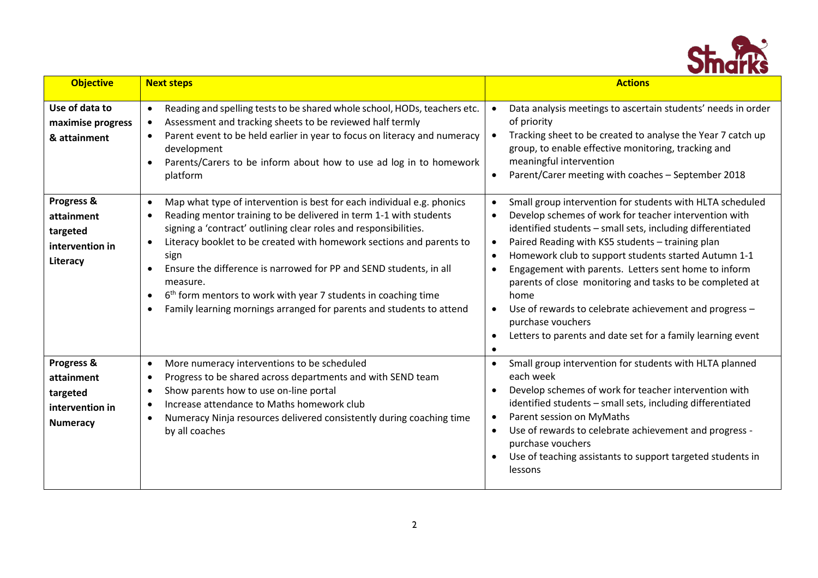

| <b>Objective</b>                                                           | <b>Next steps</b>                                                                                                                                                                                                                                                                                                                                                                                                                                                                                                                                                                           | <b>Actions</b>                                                                                                                                                                                                                                                                                                                                                                                                                                                                                                                                                                                                                                                    |
|----------------------------------------------------------------------------|---------------------------------------------------------------------------------------------------------------------------------------------------------------------------------------------------------------------------------------------------------------------------------------------------------------------------------------------------------------------------------------------------------------------------------------------------------------------------------------------------------------------------------------------------------------------------------------------|-------------------------------------------------------------------------------------------------------------------------------------------------------------------------------------------------------------------------------------------------------------------------------------------------------------------------------------------------------------------------------------------------------------------------------------------------------------------------------------------------------------------------------------------------------------------------------------------------------------------------------------------------------------------|
| Use of data to<br>maximise progress<br>& attainment                        | Reading and spelling tests to be shared whole school, HODs, teachers etc.<br>$\bullet$<br>Assessment and tracking sheets to be reviewed half termly<br>$\bullet$<br>Parent event to be held earlier in year to focus on literacy and numeracy<br>$\bullet$<br>development<br>Parents/Carers to be inform about how to use ad log in to homework<br>platform                                                                                                                                                                                                                                 | Data analysis meetings to ascertain students' needs in order<br>of priority<br>Tracking sheet to be created to analyse the Year 7 catch up<br>group, to enable effective monitoring, tracking and<br>meaningful intervention<br>Parent/Carer meeting with coaches - September 2018<br>$\bullet$                                                                                                                                                                                                                                                                                                                                                                   |
| Progress &<br>attainment<br>targeted<br>intervention in<br>Literacy        | Map what type of intervention is best for each individual e.g. phonics<br>$\bullet$<br>Reading mentor training to be delivered in term 1-1 with students<br>$\bullet$<br>signing a 'contract' outlining clear roles and responsibilities.<br>Literacy booklet to be created with homework sections and parents to<br>sign<br>Ensure the difference is narrowed for PP and SEND students, in all<br>measure.<br>6 <sup>th</sup> form mentors to work with year 7 students in coaching time<br>$\bullet$<br>Family learning mornings arranged for parents and students to attend<br>$\bullet$ | Small group intervention for students with HLTA scheduled<br>Develop schemes of work for teacher intervention with<br>$\bullet$<br>identified students - small sets, including differentiated<br>Paired Reading with KS5 students - training plan<br>$\bullet$<br>Homework club to support students started Autumn 1-1<br>$\bullet$<br>Engagement with parents. Letters sent home to inform<br>$\bullet$<br>parents of close monitoring and tasks to be completed at<br>home<br>Use of rewards to celebrate achievement and progress -<br>$\bullet$<br>purchase vouchers<br>Letters to parents and date set for a family learning event<br>$\bullet$<br>$\bullet$ |
| Progress &<br>attainment<br>targeted<br>intervention in<br><b>Numeracy</b> | More numeracy interventions to be scheduled<br>$\bullet$<br>Progress to be shared across departments and with SEND team<br>$\bullet$<br>Show parents how to use on-line portal<br>Increase attendance to Maths homework club<br>$\bullet$<br>Numeracy Ninja resources delivered consistently during coaching time<br>$\bullet$<br>by all coaches                                                                                                                                                                                                                                            | Small group intervention for students with HLTA planned<br>each week<br>Develop schemes of work for teacher intervention with<br>identified students - small sets, including differentiated<br>Parent session on MyMaths<br>$\bullet$<br>Use of rewards to celebrate achievement and progress -<br>purchase vouchers<br>Use of teaching assistants to support targeted students in<br>lessons                                                                                                                                                                                                                                                                     |